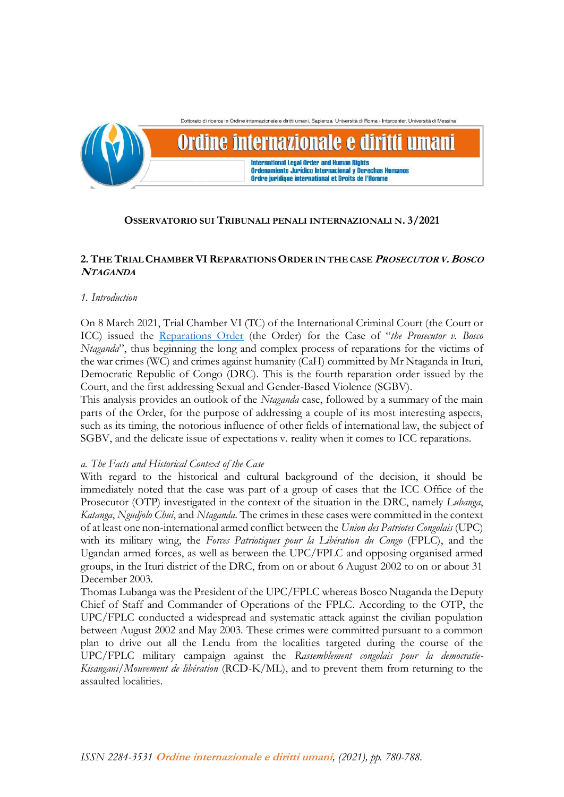

# **OSSERVATORIO SUI TRIBUNALI PENALI INTERNAZIONALI N. 3/2021**

# **2.THE TRIAL CHAMBER VIREPARATIONS ORDER IN THE CASE PROSECUTOR V.BOSCO NTAGANDA**

# *1. Introduction*

On 8 March 2021, Trial Chamber VI (TC) of the International Criminal Court (the Court or ICC) issued the [Reparations Order](https://www.icc-cpi.int/CourtRecords/CR2021_01889.PDF) (the Order) for the Case of "*the Prosecutor v. Bosco Ntaganda*", thus beginning the long and complex process of reparations for the victims of the war crimes (WC) and crimes against humanity (CaH) committed by Mr Ntaganda in Ituri, Democratic Republic of Congo (DRC). This is the fourth reparation order issued by the Court, and the first addressing Sexual and Gender-Based Violence (SGBV).

This analysis provides an outlook of the *Ntaganda* case, followed by a summary of the main parts of the Order, for the purpose of addressing a couple of its most interesting aspects, such as its timing, the notorious influence of other fields of international law, the subject of SGBV, and the delicate issue of expectations v. reality when it comes to ICC reparations.

# *a. The Facts and Historical Context of the Case*

With regard to the historical and cultural background of the decision, it should be immediately noted that the case was part of a group of cases that the ICC Office of the Prosecutor (OTP) investigated in the context of the situation in the DRC, namely *Lubanga*, *Katanga*, *Ngudjolo Chui*, and *Ntaganda*. The crimes in these cases were committed in the context of at least one non-international armed conflict between the *Union des Patriotes Congolais* (UPC) with its military wing, the *Forces Patriotiques pour la Libération du Congo* (FPLC), and the Ugandan armed forces, as well as between the UPC/FPLC and opposing organised armed groups, in the Ituri district of the DRC, from on or about 6 August 2002 to on or about 31 December 2003.

Thomas Lubanga was the President of the UPC/FPLC whereas Bosco Ntaganda the Deputy Chief of Staff and Commander of Operations of the FPLC*.* According to the OTP, the UPC/FPLC conducted a widespread and systematic attack against the civilian population between August 2002 and May 2003. These crimes were committed pursuant to a common plan to drive out all the Lendu from the localities targeted during the course of the UPC/FPLC military campaign against the *Rassemblement congolais pour la democratie-Kisangani/Mouvement de libération* (RCD-K/ML), and to prevent them from returning to the assaulted localities.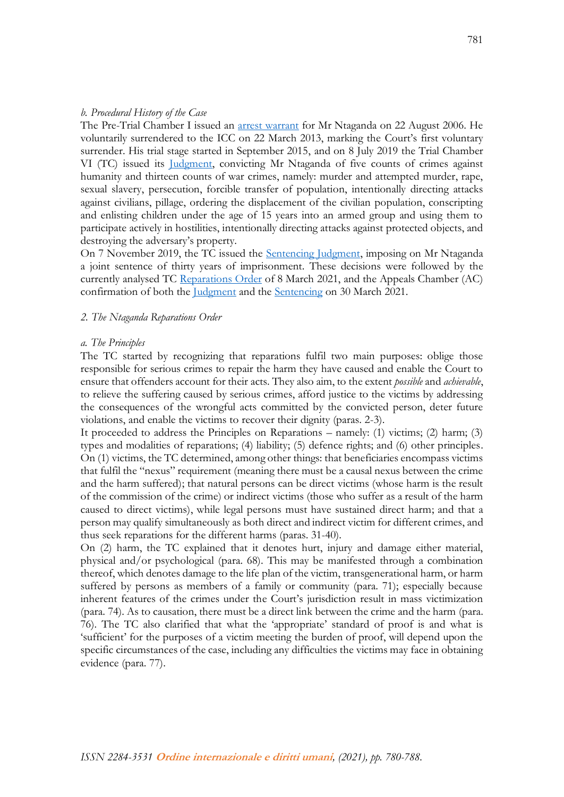# *b. Procedural History of the Case*

The Pre-Trial Chamber I issued an [arrest warrant](https://www.icc-cpi.int/CourtRecords/CR2007_03633.PDF) for Mr Ntaganda on 22 August 2006. He voluntarily surrendered to the ICC on 22 March 2013, marking the Court's first voluntary surrender. His trial stage started in September 2015, and on 8 July 2019 the Trial Chamber VI (TC) issued its [Judgment,](https://www.icc-cpi.int/CourtRecords/CR2019_03568.PDF) convicting Mr Ntaganda of five counts of crimes against humanity and thirteen counts of war crimes, namely: murder and attempted murder, rape, sexual slavery, persecution, forcible transfer of population, intentionally directing attacks against civilians, pillage, ordering the displacement of the civilian population, conscripting and enlisting children under the age of 15 years into an armed group and using them to participate actively in hostilities, intentionally directing attacks against protected objects, and destroying the adversary's property.

On 7 November 2019, the TC issued the [Sentencing Judgment,](https://www.icc-cpi.int/CourtRecords/CR2019_03568.PDF) imposing on Mr Ntaganda a joint sentence of thirty years of imprisonment. These decisions were followed by the currently analysed TC [Reparations Order](https://www.icc-cpi.int/CourtRecords/CR2021_01889.PDF) of 8 March 2021, and the Appeals Chamber (AC) confirmation of both the [Judgment](https://www.icc-cpi.int/CourtRecords/CR2021_03027.PDF) and the [Sentencing](https://www.icc-cpi.int/CourtRecords/CR2021_03030.PDF) on 30 March 2021.

# *2. The Ntaganda Reparations Order*

#### *a. The Principles*

The TC started by recognizing that reparations fulfil two main purposes: oblige those responsible for serious crimes to repair the harm they have caused and enable the Court to ensure that offenders account for their acts. They also aim, to the extent *possible* and *achievable*, to relieve the suffering caused by serious crimes, afford justice to the victims by addressing the consequences of the wrongful acts committed by the convicted person, deter future violations, and enable the victims to recover their dignity (paras. 2-3).

It proceeded to address the Principles on Reparations – namely:  $(1)$  victims;  $(2)$  harm;  $(3)$ types and modalities of reparations; (4) liability; (5) defence rights; and (6) other principles. On (1) victims, the TC determined, among other things: that beneficiaries encompass victims that fulfil the "nexus" requirement (meaning there must be a causal nexus between the crime and the harm suffered); that natural persons can be direct victims (whose harm is the result of the commission of the crime) or indirect victims (those who suffer as a result of the harm caused to direct victims), while legal persons must have sustained direct harm; and that a person may qualify simultaneously as both direct and indirect victim for different crimes, and thus seek reparations for the different harms (paras. 31-40).

On (2) harm, the TC explained that it denotes hurt, injury and damage either material, physical and/or psychological (para. 68). This may be manifested through a combination thereof, which denotes damage to the life plan of the victim, transgenerational harm, or harm suffered by persons as members of a family or community (para. 71); especially because inherent features of the crimes under the Court's jurisdiction result in mass victimization (para. 74). As to causation, there must be a direct link between the crime and the harm (para. 76). The TC also clarified that what the 'appropriate' standard of proof is and what is 'sufficient' for the purposes of a victim meeting the burden of proof, will depend upon the specific circumstances of the case, including any difficulties the victims may face in obtaining evidence (para. 77).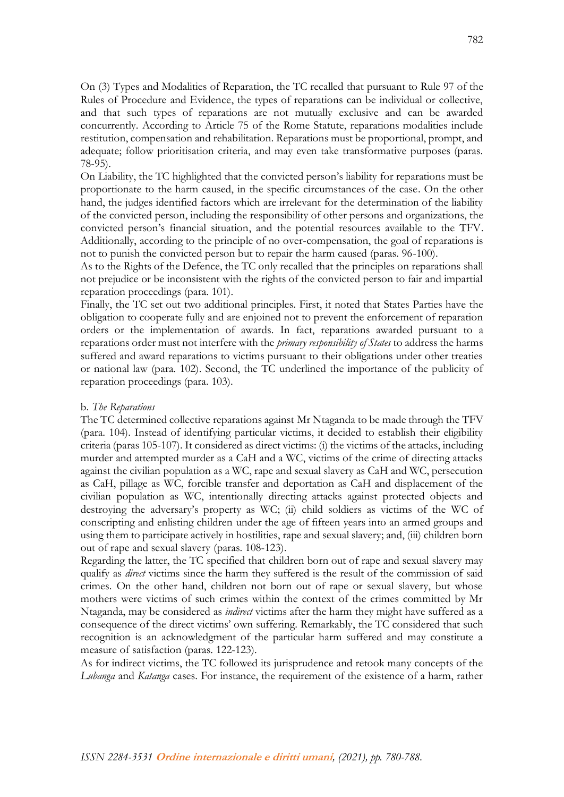On (3) Types and Modalities of Reparation, the TC recalled that pursuant to Rule 97 of the Rules of Procedure and Evidence, the types of reparations can be individual or collective, and that such types of reparations are not mutually exclusive and can be awarded concurrently. According to Article 75 of the Rome Statute, reparations modalities include restitution, compensation and rehabilitation. Reparations must be proportional, prompt, and adequate; follow prioritisation criteria, and may even take transformative purposes (paras. 78-95).

On Liability, the TC highlighted that the convicted person's liability for reparations must be proportionate to the harm caused, in the specific circumstances of the case. On the other hand, the judges identified factors which are irrelevant for the determination of the liability of the convicted person, including the responsibility of other persons and organizations, the convicted person's financial situation, and the potential resources available to the TFV. Additionally, according to the principle of no over-compensation, the goal of reparations is not to punish the convicted person but to repair the harm caused (paras. 96-100).

As to the Rights of the Defence, the TC only recalled that the principles on reparations shall not prejudice or be inconsistent with the rights of the convicted person to fair and impartial reparation proceedings (para. 101).

Finally, the TC set out two additional principles. First, it noted that States Parties have the obligation to cooperate fully and are enjoined not to prevent the enforcement of reparation orders or the implementation of awards. In fact, reparations awarded pursuant to a reparations order must not interfere with the *primary responsibility of States* to address the harms suffered and award reparations to victims pursuant to their obligations under other treaties or national law (para. 102). Second, the TC underlined the importance of the publicity of reparation proceedings (para. 103).

# b. *The Reparations*

The TC determined collective reparations against Mr Ntaganda to be made through the TFV (para. 104). Instead of identifying particular victims, it decided to establish their eligibility criteria (paras 105-107). It considered as direct victims: (i) the victims of the attacks, including murder and attempted murder as a CaH and a WC, victims of the crime of directing attacks against the civilian population as a WC, rape and sexual slavery as CaH and WC, persecution as CaH, pillage as WC, forcible transfer and deportation as CaH and displacement of the civilian population as WC, intentionally directing attacks against protected objects and destroying the adversary's property as WC; (ii) child soldiers as victims of the WC of conscripting and enlisting children under the age of fifteen years into an armed groups and using them to participate actively in hostilities, rape and sexual slavery; and, (iii) children born out of rape and sexual slavery (paras. 108-123).

Regarding the latter, the TC specified that children born out of rape and sexual slavery may qualify as *direct* victims since the harm they suffered is the result of the commission of said crimes. On the other hand, children not born out of rape or sexual slavery, but whose mothers were victims of such crimes within the context of the crimes committed by Mr Ntaganda, may be considered as *indirect* victims after the harm they might have suffered as a consequence of the direct victims' own suffering. Remarkably, the TC considered that such recognition is an acknowledgment of the particular harm suffered and may constitute a measure of satisfaction (paras. 122-123).

As for indirect victims, the TC followed its jurisprudence and retook many concepts of the *Lubanga* and *Katanga* cases. For instance, the requirement of the existence of a harm, rather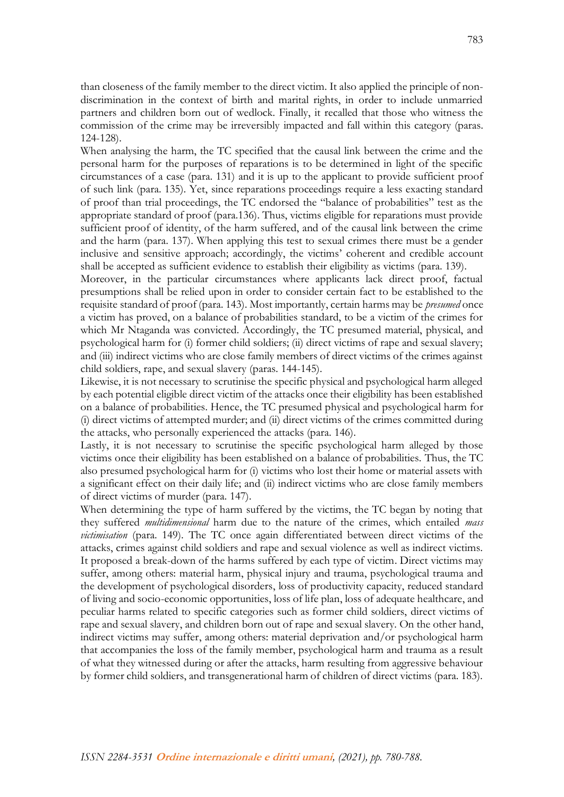than closeness of the family member to the direct victim. It also applied the principle of nondiscrimination in the context of birth and marital rights, in order to include unmarried partners and children born out of wedlock. Finally, it recalled that those who witness the commission of the crime may be irreversibly impacted and fall within this category (paras. 124-128).

When analysing the harm, the TC specified that the causal link between the crime and the personal harm for the purposes of reparations is to be determined in light of the specific circumstances of a case (para. 131) and it is up to the applicant to provide sufficient proof of such link (para. 135). Yet, since reparations proceedings require a less exacting standard of proof than trial proceedings, the TC endorsed the "balance of probabilities" test as the appropriate standard of proof (para.136). Thus, victims eligible for reparations must provide sufficient proof of identity, of the harm suffered, and of the causal link between the crime and the harm (para. 137). When applying this test to sexual crimes there must be a gender inclusive and sensitive approach; accordingly, the victims' coherent and credible account shall be accepted as sufficient evidence to establish their eligibility as victims (para. 139).

Moreover, in the particular circumstances where applicants lack direct proof, factual presumptions shall be relied upon in order to consider certain fact to be established to the requisite standard of proof (para. 143). Most importantly, certain harms may be *presumed* once a victim has proved, on a balance of probabilities standard, to be a victim of the crimes for which Mr Ntaganda was convicted. Accordingly, the TC presumed material, physical, and psychological harm for (i) former child soldiers; (ii) direct victims of rape and sexual slavery; and (iii) indirect victims who are close family members of direct victims of the crimes against child soldiers, rape, and sexual slavery (paras. 144-145).

Likewise, it is not necessary to scrutinise the specific physical and psychological harm alleged by each potential eligible direct victim of the attacks once their eligibility has been established on a balance of probabilities. Hence, the TC presumed physical and psychological harm for (i) direct victims of attempted murder; and (ii) direct victims of the crimes committed during the attacks, who personally experienced the attacks (para. 146).

Lastly, it is not necessary to scrutinise the specific psychological harm alleged by those victims once their eligibility has been established on a balance of probabilities. Thus, the TC also presumed psychological harm for (i) victims who lost their home or material assets with a significant effect on their daily life; and (ii) indirect victims who are close family members of direct victims of murder (para. 147).

When determining the type of harm suffered by the victims, the TC began by noting that they suffered *multidimensional* harm due to the nature of the crimes, which entailed *mass victimisation* (para. 149). The TC once again differentiated between direct victims of the attacks, crimes against child soldiers and rape and sexual violence as well as indirect victims. It proposed a break-down of the harms suffered by each type of victim. Direct victims may suffer, among others: material harm, physical injury and trauma, psychological trauma and the development of psychological disorders, loss of productivity capacity, reduced standard of living and socio-economic opportunities, loss of life plan, loss of adequate healthcare, and peculiar harms related to specific categories such as former child soldiers, direct victims of rape and sexual slavery, and children born out of rape and sexual slavery. On the other hand, indirect victims may suffer, among others: material deprivation and/or psychological harm that accompanies the loss of the family member, psychological harm and trauma as a result of what they witnessed during or after the attacks, harm resulting from aggressive behaviour by former child soldiers, and transgenerational harm of children of direct victims (para. 183).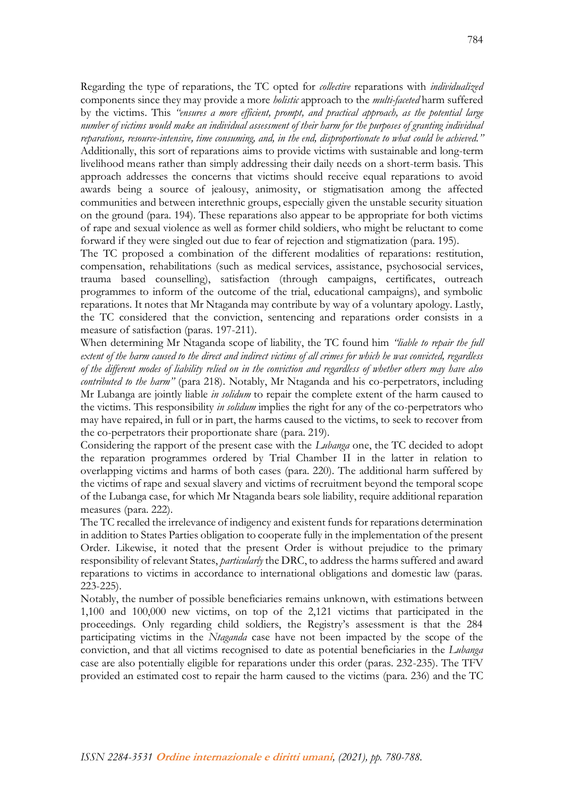Regarding the type of reparations, the TC opted for *collective* reparations with *individualized* components since they may provide a more *holistic* approach to the *multi-faceted* harm suffered by the victims. This *"ensures a more efficient, prompt, and practical approach, as the potential large number of victims would make an individual assessment of their harm for the purposes of granting individual reparations, resource-intensive, time consuming, and, in the end, disproportionate to what could be achieved."*

Additionally, this sort of reparations aims to provide victims with sustainable and long-term livelihood means rather than simply addressing their daily needs on a short-term basis. This approach addresses the concerns that victims should receive equal reparations to avoid awards being a source of jealousy, animosity, or stigmatisation among the affected communities and between interethnic groups, especially given the unstable security situation on the ground (para. 194). These reparations also appear to be appropriate for both victims of rape and sexual violence as well as former child soldiers, who might be reluctant to come forward if they were singled out due to fear of rejection and stigmatization (para. 195).

The TC proposed a combination of the different modalities of reparations: restitution, compensation, rehabilitations (such as medical services, assistance, psychosocial services, trauma based counselling), satisfaction (through campaigns, certificates, outreach programmes to inform of the outcome of the trial, educational campaigns), and symbolic reparations. It notes that Mr Ntaganda may contribute by way of a voluntary apology. Lastly, the TC considered that the conviction, sentencing and reparations order consists in a measure of satisfaction (paras. 197-211).

When determining Mr Ntaganda scope of liability, the TC found him *"liable to repair the full extent of the harm caused to the direct and indirect victims of all crimes for which he was convicted, regardless of the different modes of liability relied on in the conviction and regardless of whether others may have also contributed to the harm"* (para 218). Notably, Mr Ntaganda and his co-perpetrators, including Mr Lubanga are jointly liable *in solidum* to repair the complete extent of the harm caused to the victims. This responsibility *in solidum* implies the right for any of the co-perpetrators who may have repaired, in full or in part, the harms caused to the victims, to seek to recover from the co-perpetrators their proportionate share (para. 219)*.*

Considering the rapport of the present case with the *Lubanga* one, the TC decided to adopt the reparation programmes ordered by Trial Chamber II in the latter in relation to overlapping victims and harms of both cases (para. 220). The additional harm suffered by the victims of rape and sexual slavery and victims of recruitment beyond the temporal scope of the Lubanga case, for which Mr Ntaganda bears sole liability, require additional reparation measures (para. 222).

The TC recalled the irrelevance of indigency and existent funds for reparations determination in addition to States Parties obligation to cooperate fully in the implementation of the present Order. Likewise, it noted that the present Order is without prejudice to the primary responsibility of relevant States, *particularly* the DRC, to address the harms suffered and award reparations to victims in accordance to international obligations and domestic law (paras. 223-225).

Notably, the number of possible beneficiaries remains unknown, with estimations between 1,100 and 100,000 new victims, on top of the 2,121 victims that participated in the proceedings. Only regarding child soldiers, the Registry's assessment is that the 284 participating victims in the *Ntaganda* case have not been impacted by the scope of the conviction, and that all victims recognised to date as potential beneficiaries in the *Lubanga* case are also potentially eligible for reparations under this order (paras. 232-235). The TFV provided an estimated cost to repair the harm caused to the victims (para. 236) and the TC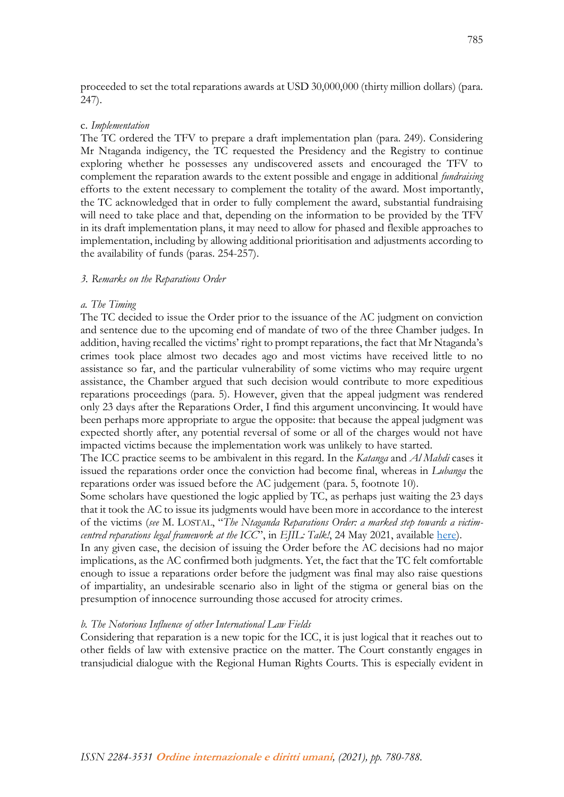proceeded to set the total reparations awards at USD 30,000,000 (thirty million dollars) (para. 247).

#### c. *Implementation*

The TC ordered the TFV to prepare a draft implementation plan (para. 249). Considering Mr Ntaganda indigency, the TC requested the Presidency and the Registry to continue exploring whether he possesses any undiscovered assets and encouraged the TFV to complement the reparation awards to the extent possible and engage in additional *fundraising* efforts to the extent necessary to complement the totality of the award. Most importantly, the TC acknowledged that in order to fully complement the award, substantial fundraising will need to take place and that, depending on the information to be provided by the TFV in its draft implementation plans, it may need to allow for phased and flexible approaches to implementation, including by allowing additional prioritisation and adjustments according to the availability of funds (paras. 254-257).

# *3. Remarks on the Reparations Order*

#### *a. The Timing*

The TC decided to issue the Order prior to the issuance of the AC judgment on conviction and sentence due to the upcoming end of mandate of two of the three Chamber judges. In addition, having recalled the victims' right to prompt reparations, the fact that Mr Ntaganda's crimes took place almost two decades ago and most victims have received little to no assistance so far, and the particular vulnerability of some victims who may require urgent assistance, the Chamber argued that such decision would contribute to more expeditious reparations proceedings (para. 5). However, given that the appeal judgment was rendered only 23 days after the Reparations Order, I find this argument unconvincing. It would have been perhaps more appropriate to argue the opposite: that because the appeal judgment was expected shortly after, any potential reversal of some or all of the charges would not have impacted victims because the implementation work was unlikely to have started.

The ICC practice seems to be ambivalent in this regard. In the *Katanga* and *Al Mahdi* cases it issued the reparations order once the conviction had become final, whereas in *Lubanga* the reparations order was issued before the AC judgement (para. 5, footnote 10).

Some scholars have questioned the logic applied by TC, as perhaps just waiting the 23 days that it took the AC to issue its judgments would have been more in accordance to the interest of the victims (*see* M. LOSTAL, "*The Ntaganda Reparations Order: a marked step towards a victimcentred reparations legal framework at the ICC*", in *EJIL: Talk!*, 24 May 2021, available [here\)](https://www.ejiltalk.org/the-ntaganda-reparations-order-a-marked-step-towards-a-victim-centred-reparations-legal-framework-at-the-icc/).

In any given case, the decision of issuing the Order before the AC decisions had no major implications, as the AC confirmed both judgments. Yet, the fact that the TC felt comfortable enough to issue a reparations order before the judgment was final may also raise questions of impartiality, an undesirable scenario also in light of the stigma or general bias on the presumption of innocence surrounding those accused for atrocity crimes.

#### *b. The Notorious Influence of other International Law Fields*

Considering that reparation is a new topic for the ICC, it is just logical that it reaches out to other fields of law with extensive practice on the matter. The Court constantly engages in transjudicial dialogue with the Regional Human Rights Courts. This is especially evident in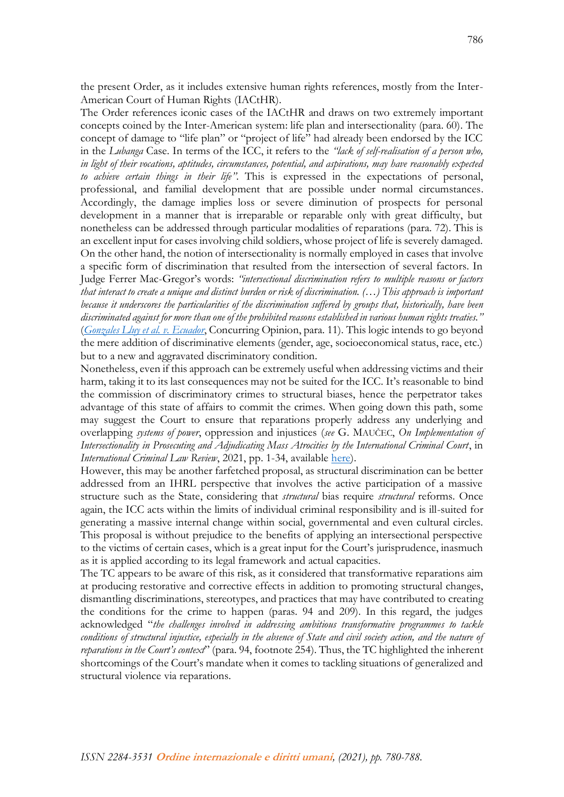the present Order, as it includes extensive human rights references, mostly from the Inter-American Court of Human Rights (IACtHR).

The Order references iconic cases of the IACtHR and draws on two extremely important concepts coined by the Inter-American system: life plan and intersectionality (para. 60). The concept of damage to "life plan" or "project of life" had already been endorsed by the ICC in the *Lubanga* Case. In terms of the ICC, it refers to the *"lack of self-realisation of a person who, in light of their vocations, aptitudes, circumstances, potential, and aspirations, may have reasonably expected to achieve certain things in their life".* This is expressed in the expectations of personal, professional, and familial development that are possible under normal circumstances. Accordingly, the damage implies loss or severe diminution of prospects for personal development in a manner that is irreparable or reparable only with great difficulty, but nonetheless can be addressed through particular modalities of reparations (para. 72). This is an excellent input for cases involving child soldiers, whose project of life is severely damaged. On the other hand, the notion of intersectionality is normally employed in cases that involve a specific form of discrimination that resulted from the intersection of several factors. In Judge Ferrer Mac-Gregor's words: *"intersectional discrimination refers to multiple reasons or factors that interact to create a unique and distinct burden or risk of discrimination. (…) This approach is important because it underscores the particularities of the discrimination suffered by groups that, historically, have been discriminated against for more than one of the prohibited reasons established in various human rights treaties."*  (*[Gonzales Lluy et al. v. Ecuador](https://www.corteidh.or.cr/docs/casos/articulos/seriec_298_ing.pdf)*, Concurring Opinion, para. 11). This logic intends to go beyond the mere addition of discriminative elements (gender, age, socioeconomical status, race, etc.) but to a new and aggravated discriminatory condition.

Nonetheless, even if this approach can be extremely useful when addressing victims and their harm, taking it to its last consequences may not be suited for the ICC. It's reasonable to bind the commission of discriminatory crimes to structural biases, hence the perpetrator takes advantage of this state of affairs to commit the crimes. When going down this path, some may suggest the Court to ensure that reparations properly address any underlying and overlapping *systems of power*, oppression and injustices (*see* G. MAUČEC, *On Implementation of Intersectionality in Prosecuting and Adjudicating Mass Atrocities by the International Criminal Court*, in *International Criminal Law Review*, 2021, pp. 1-34, available [here\)](https://brill.com/view/journals/icla/aop/article-10.1163-15718123-bja10064/article-10.1163-15718123-bja10064.xml?language=en¨).

However, this may be another farfetched proposal, as structural discrimination can be better addressed from an IHRL perspective that involves the active participation of a massive structure such as the State, considering that *structural* bias require *structural* reforms. Once again, the ICC acts within the limits of individual criminal responsibility and is ill-suited for generating a massive internal change within social, governmental and even cultural circles. This proposal is without prejudice to the benefits of applying an intersectional perspective to the victims of certain cases, which is a great input for the Court's jurisprudence, inasmuch as it is applied according to its legal framework and actual capacities.

The TC appears to be aware of this risk, as it considered that transformative reparations aim at producing restorative and corrective effects in addition to promoting structural changes, dismantling discriminations, stereotypes, and practices that may have contributed to creating the conditions for the crime to happen (paras. 94 and 209). In this regard, the judges acknowledged "*the challenges involved in addressing ambitious transformative programmes to tackle*  conditions of structural injustice, especially in the absence of State and civil society action, and the nature of *reparations in the Court's context*" (para. 94, footnote 254). Thus, the TC highlighted the inherent shortcomings of the Court's mandate when it comes to tackling situations of generalized and structural violence via reparations.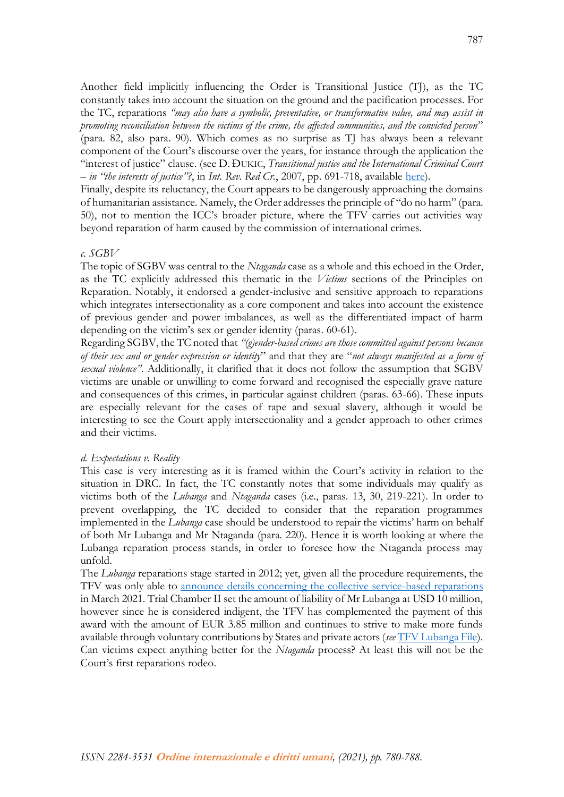Another field implicitly influencing the Order is Transitional Justice (TJ), as the TC constantly takes into account the situation on the ground and the pacification processes. For the TC, reparations *"may also have a symbolic, preventative, or transformative value, and may assist in promoting reconciliation between the victims of the crime, the affected communities, and the convicted person*" (para. 82, also para. 90). Which comes as no surprise as TJ has always been a relevant component of the Court's discourse over the years, for instance through the application the "interest of justice" clause. (see D. ÐUKIC, *Transitional justice and the International Criminal Court – in ''the interests of justice''?*, in *Int. Rev. Red Cr.*, 2007, pp. 691-718, available [here\)](https://international-review.icrc.org/sites/default/files/irrc-867-9.pdf).

Finally, despite its reluctancy, the Court appears to be dangerously approaching the domains of humanitarian assistance. Namely, the Order addresses the principle of "do no harm" (para. 50), not to mention the ICC's broader picture, where the TFV carries out activities way beyond reparation of harm caused by the commission of international crimes.

# *c. SGBV*

The topic of SGBV was central to the *Ntaganda* case as a whole and this echoed in the Order, as the TC explicitly addressed this thematic in the *Victims* sections of the Principles on Reparation. Notably, it endorsed a gender-inclusive and sensitive approach to reparations which integrates intersectionality as a core component and takes into account the existence of previous gender and power imbalances, as well as the differentiated impact of harm depending on the victim's sex or gender identity (paras. 60-61).

Regarding SGBV, the TC noted that *"(g)ender-based crimes are those committed against persons because of their sex and or gender expression or identity*" and that they are "*not always manifested as a form of sexual violence"*. Additionally, it clarified that it does not follow the assumption that SGBV victims are unable or unwilling to come forward and recognised the especially grave nature and consequences of this crimes, in particular against children (paras. 63-66). These inputs are especially relevant for the cases of rape and sexual slavery, although it would be interesting to see the Court apply intersectionality and a gender approach to other crimes and their victims.

# *d. Expectations v. Reality*

This case is very interesting as it is framed within the Court's activity in relation to the situation in DRC. In fact, the TC constantly notes that some individuals may qualify as victims both of the *Lubanga* and *Ntaganda* cases (i.e., paras. 13, 30, 219-221). In order to prevent overlapping, the TC decided to consider that the reparation programmes implemented in the *Lubanga* case should be understood to repair the victims' harm on behalf of both Mr Lubanga and Mr Ntaganda (para. 220). Hence it is worth looking at where the Lubanga reparation process stands, in order to foresee how the Ntaganda process may unfold.

The *Lubanga* reparations stage started in 2012; yet, given all the procedure requirements, the TFV was only able to announce details concerning [the collective service-based reparations](https://www.trustfundforvictims.org/en/news/factsheet-4-march-2021-collective-reparations-form-services-victims-crimes-which-thomas) in March 2021. Trial Chamber II set the amount of liability of Mr Lubanga at USD 10 million, however since he is considered indigent, the TFV has complemented the payment of this award with the amount of EUR 3.85 million and continues to strive to make more funds available through voluntary contributions by States and private actors (*see* TFV [Lubanga File\)](https://www.trustfundforvictims.org/what-we-do/reparation-orders/lubanga). Can victims expect anything better for the *Ntaganda* process? At least this will not be the Court's first reparations rodeo.